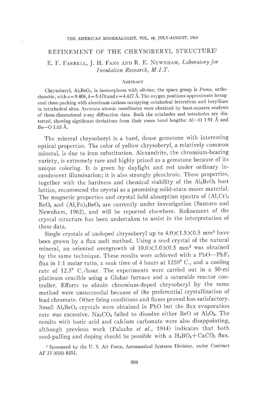### THE AMERICAN MINERALOGIST, VOL. 48, JULY-AUGUST, 1963

## REFINEMENT OF THE CHRYSOBERYL STRUCTUREI

# E. F. FARRELL, J. H. FANG AND R. E. NEWNHAM, Laboratory for Insulation Research, M.I .7.

#### **ABSTRACT**

Chrysoberyl,  $Al_2BeO_4$ , is isomorphous with olivine; the space group is  $Pnma$ , orthorhombic, with  $a = 9.404$ ,  $b = 5.476$  and  $c = 4.427$  Å. The oxygen positions approximate hexagonal close-packing with aluminum cations occupying octahedral interstices and beryllium in tetrahedral sites. Accurate atomic coordinates were obtained by least-squares analysis of three-dimensional  $x$ -ray diffraction data. Both the octahedra and tetrahedra are distorted, showing significant deviations from their mean bond lengths: Al-O 1.91 A and  $Be$ -O 1.63 Å.

The mineral chrysoberyl is a hard, dense gemstone with interesting optical properties. The color of yellow chrysoberyl, a relatively common mineral, is due to iron substitution. Alexandrite, the chromium-bearing variety, is extremely rare and highly prized as a gemstone because of its unique coloring. It is green by daylight and red under ordinary incandescent illumination; it is also strongly pleochroic. These properties, together with the hardness and chemical stability of the  $Al<sub>2</sub>BeO<sub>4</sub>$  host lattice, recommend the crystal as a promising solid-state maser material. The magnetic properties and crystal field absorption spectra of  $(Al, Cr)_2$  $BeO<sub>4</sub>$  and  $(Al,Fe)<sub>2</sub>BeO<sub>4</sub>$  are currently under investigation (Santoro and Newnham, 1962), and will be reported elsewhere. Refinement of the crystal structure has been undertaken to assist in the interpretation of these data.

Single crystals of undoped chrysoberyl up to  $4.0\times1.5\times0.5$  mm<sup>3</sup> have been grown by a flux melt method. Using a seed crystal of the natural mineral, an oriented overgrowth of  $10.0 \times 5.0 \times 0.5$  mm<sup>3</sup> was obtained by the same technique. These results were achieved with a PbO-PbF<sub>2</sub> flux in 1:1 molar ratio, a soak time of 4 hours at  $1250^{\circ}$  C., and a cooling rate of 12.5' C./hour. The experiments were carried out in a 50-ml platinum crucible using a Globar furnace and a saturable reactor controller. Efforts to obtain chromium-doped chrysoberyl by the same method were unsuccessful because of the preferential crystallization of lead chromate. Other firing conditions and fluxes proved less satisfactory. Small AlzBeO4 crystals were obtained in PbO but the flux evaporation rate was excessive. Na<sub>2</sub>CO<sub>3</sub> failed to dissolve either BeO or Al<sub>2</sub>O<sub>3</sub>. The results with boric acid and calcium carbonate were also disappointing, although previous work (Palache et al., 1944) indicates that both seed-pulling and doping should be possible with a  $H_3BO_3+CaCO_3$  flux.

1 Sponsored by the U. S. Air Force, Aeronautical Systems Division, under Contract AF 33 (616)-8353.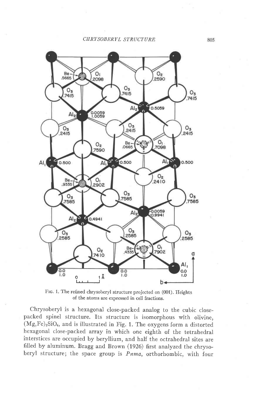CHRYSOBERYL STRUCTURE



Frc. 1. The refined chrysoberyl structure projected on (001). Heights of the atoms are expressed in cell fractions.

Chrysoberyl is a hexagonal close-packed analog to the cubic closepacked spinel structure. Its structure is isomorphous with olivine,  $(Mg,Fe)_2SiO_4$ , and is illustrated in Fig. 1. The oxygens form a distorted hexagonal close-packed array in which one eighth of the tetrahedral interstices are occupied by beryllium, and half the octrahedral sites are filled by aluminum. Bragg and Brown (1926) first analyzed the chrysoberyl structure; the space group is Pnma, orthorhombic, with four

805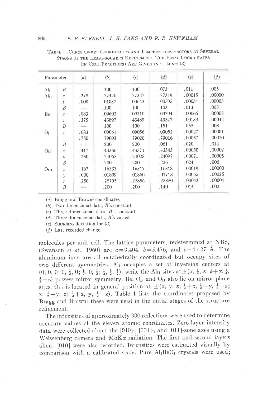| Parameter        |                  | (a)                      | (b)       | (c)       | (d)       | (e)    | (f)    |
|------------------|------------------|--------------------------|-----------|-----------|-----------|--------|--------|
| Al <sub>I</sub>  | $\overline{B}$   |                          | .100      | .100      | .073      | .011   | .005   |
| Al <sub>II</sub> | $\mathcal{X}$    | .278                     | $-27426$  | .27327    | .27319    | .00015 | .00000 |
|                  | $\bar{z}$        | .000                     | $-.01037$ | $-.00643$ | $-.00595$ | .00034 | .00003 |
|                  | B                | $\overline{\phantom{a}}$ | .100      | .100      | .103      | .013   | .005   |
| Be               | $\mathcal{X}$    | .083                     | $-09603$  | .09310    | .09294    | .00065 | .00002 |
|                  | z                | .375                     | .43897    | .43489    | .43347    | .00138 | .00042 |
|                  | B                | $\overline{\phantom{a}}$ | .100      | .100      | .151      | .055   | .008   |
| Οī               | $\mathcal{X}$    | .083                     | .09061    | .09056    | .09051    | .00027 | .00001 |
|                  | $\overline{z}$   | .750                     | .79093    | .79020    | .79016    | .00057 | .00010 |
|                  | B                | $\sim$                   | .200      | .200      | .061      | .020   | .014   |
| $O_{II}$         | $\mathcal{X}$    | .417                     | .43366    | .43371    | .43343    | .00030 | .00002 |
|                  | $\rm{Z}$         | .250                     | .24065    | .24028    | .24097    | .00071 | .00005 |
|                  | $\boldsymbol{B}$ | $\frac{1}{2}$            | .200      | .200      | .226      | .024   | .006   |
| $O_{III}$        | $\mathcal{X}$    | .167                     | .16333    | .16317    | .16318    | .00019 | .00000 |
|                  | $\gamma$         | .000.                    | .01809    | .01860    | .01718    | .00055 | .00025 |
|                  | Z                | .250                     | .25795    | .25856    | .25850    | .00043 | .00004 |
|                  | B                | $\sim$                   | .200      | .200      | .140      | .014   | .002   |

TABLE 1. CHRYSOBERYL COORDINATES AND TEMPERATURE FACTORS AT SEVERAL STAGES OF THE LEAST-SQUARES REFINEMENT. THE FINAL COORDINATES (IN CELL FRACTIONS) ARE GIVEN IN COLUMN (d)

 $(a)$  Bragg and Brown<sup>1</sup> coordinates

(b) Two dimensional data,  $B$ 's constant

 $(c)$  Three dimensional data,  $B$ 's constant

(d) Three dimensional data,  $B$ 's varied

 $(e)$  Standard deviation for  $(d)$ 

 $(f)$  Last recorded change

molecules per unit cell. The lattice parameters, redetermined at NBS, (Swanson *et al.*, 1960) are  $a=9.404$ ,  $b=5.476$ , and  $c=4.427$  Å. The aluminum ions are all octahedrally coordinated but occupy sites of two different symmetries. Al<sub>I</sub> occupies a set of inversion centers at  $(0, 0, 0, 0, \frac{1}{2}, 0, \frac{1}{2}, 0, \frac{1}{2}, \frac{1}{2}, \frac{1}{2}, \frac{1}{2})$ , while the Al<sub>II</sub> sites at  $\pm (x, \frac{1}{4}, z; \frac{1}{2} + x, \frac{1}{4}, \frac{1}{2})$  $(\frac{1}{2}-z)$  possess mirror symmetry. Be, O<sub>I</sub>, and O<sub>II</sub> also lie on mirror plane sites. O<sub>III</sub> is located in general position at  $\pm$  (x, y, z;  $\frac{1}{2} + x$ ,  $\frac{1}{2} - y$ ,  $\frac{1}{2} - z$ ; x,  $\frac{1}{2} - y$ , z;  $\frac{1}{2} + x$ , y,  $\frac{1}{2} - z$ ). Table 1 lists the coordinates proposed by Bragg and Brown; these were used in the initial stages of the structure refinement.

The intensities of approximately 900 reflections were used to determine accurate values of the eleven atomic coordinates. Zero-layer intensity data were collected about the  $[010]$ -,  $[001]$ -, and  $[011]$ -zone axes using a Weissenberg camera and  $MoK\alpha$  radiation. The first and second layers about [010] were also recorded. Intensities were estimated visually by comparison with a calibrated scale. Pure Al2BeO4 crystals were used;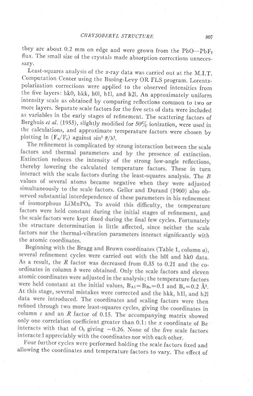they are about 0.2 mm on edge and were grown from the  $PbO-PbF<sub>2</sub>$ flux. The small size of the crystals made absorption corrections unnecessary.

Least-squares analysis of the x-ray data was carried out at the M.I.T. Computation Center using the Busing-Levy OR FLS program. Lorentz\_ polarization corrections were applied to the observed intensities from the five layers: hk0, hkk, h0l, h1l, and h2l. An approximately uniform intensity scale as obtained by comparing reflections common to two or more layers. Separate scale factors for the five sets of data were included as variables in the early stages of refinement. The scattering factors of Berghuis et al. (1955), slightly modified for 50% ionization, were used in the calculations, and approximate temperature factors were chosen by plotting ln (F<sub>o</sub>/F<sub>c</sub>) against sin<sup>2</sup>  $\theta/\lambda^2$ .<br>The refinement is complicated by strong interaction between the scale

factors and thermal parameters and by the presence of extinction. Extinction reduces the intensity of the strong low-angle reflections, thereby lowering the calculated temperature factors. These in turn interact with the scale factors during the least-squares analysis. The B values of several atoms became negative when they were adjusted simultaneously to the scale factors. Geller and Durand (1960) also observed substantial interdependence of these parameters in his refinement of isomorphous LiMnPO<sub>4</sub>. To avoid this difficulty, the temperature factors were held constant during the initial stages of refinement, and the scale factors were kept fixed during the final few cycles. Fortunately the structure determination is little affected, since neither the scale factors nor the thermal-vibration parameters interact significantly with the atomic coordinates.

Beginning with the Bragg and Brown coordinates (Table 1, column  $a$ ), several refinement cycles were carried out with the h0l and hk0 data. As a result, the  $R$  factor was decreased from 0.35 to 0.21 and the coordinates in column  $\bar{b}$  were obtained. Only the scale factors and eleven atomic coordinates were adjusted in the analysis; the temperature factors were held constant at the initial values,  $B_{A1} = B_{Be} = 0.1$  and  $B_0 = 0.2$   $\AA^2$ . At this stage, several mistakes were corrected and the hkk, h1l, and h2l data were introduced. The coordinates and scaling factors were then refined through two more least-squares cycles, giving the coordinates in column  $\epsilon$  and an  $R$  factor of 0.15. The accompanying matrix showed only one correlation coefficient greater than 0.1: the x coordinate of Be interacts with that of  $O_1$  giving  $-0.26$ . None of the five scale factors interacted appreciably with the coordinates nor with each other.<br>Four further cycles were performed holding the scale factors fixed and

ailowing the coordinates and temperature factors to vary. The effect of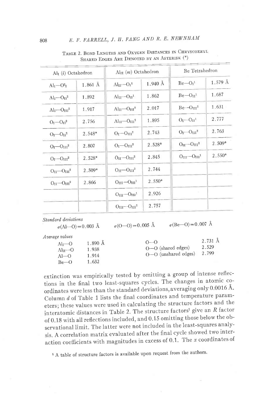| Al <sub>I</sub> (i) Octahedron                     |          | $\text{Al}_{\text{II}}(m)$ Octahedron |                   | Be Tetrahedron                 |                   |
|----------------------------------------------------|----------|---------------------------------------|-------------------|--------------------------------|-------------------|
| $Alr$ - $O2$ <sub>I</sub>                          | 1.861 Å  | $AlII - OI1$                          | $1.940 \text{ Å}$ | $Be-OI1$                       | $1.579 \text{ Å}$ |
| $AlI$ - $O_{II}$ <sup>2</sup>                      | 1.892    | $AlII - OII1$                         | 1.862             | $Be - O_{II}$ <sup>1</sup>     | 1.687             |
| $Alt$ <sup>-<math>O_{III}</math><sup>2</sup></sup> | 1.917    | $Al_{II}$ - $O_{III}$ <sup>2</sup>    | 2.017             | $Be - OIII2$                   | 1.631             |
| $O_I$ — $O_{II}$ <sup>2</sup>                      | 2.756    | $Alu$ - $O_{III}$ <sup>2</sup>        | 1.895             | $O_I$ - $O_{II}$ <sup>1</sup>  | 2.777             |
| $O_I$ — $O_{II}$ <sup>2</sup>                      | $2.548*$ | $O_I$ - $O_{III}$ <sup>2</sup>        | 2.743             | $O_I$ — $O_{III}$ <sup>2</sup> | 2.763             |
| $O_I$ — $O_{III}$ <sup>2</sup>                     | 2.807    | $O_I$ — $O_{III}$ <sup>2</sup>        | 2.528*            | $OII - OIII2$                  | $2.509*$          |
| $O_I$ - $O_{III}$ <sup>2</sup>                     | $2.528*$ | $OII - OIII2$                         | 2.845             | $OIII - OIII1$                 | 2.550*            |
| $O_{II}$ - $O_{III}$ <sup>2</sup>                  | 2.509*   | $OII - OIII2$                         | 2.744             |                                |                   |
| $O_{II}$ - $O_{III}$ <sup>2</sup>                  | 2.866    | $OIII - OIII1$                        | 2.550*            |                                |                   |
|                                                    |          | $O_{III}$ - $O_{III}$ <sup>1</sup>    | 2.926             | ×                              |                   |
|                                                    |          | $O_{III}$ - $O_{III}$ <sup>2</sup>    | 2.757             |                                |                   |

TABLE 2. BOND LENGTHS AND OXYGEN DISTANCES IN CHRYSOBERYL SHARED EDGES ARE DENOTED BY AN ASTERISK (\*)

Standard deviations

 $\sigma(AI-0) = 0.003$  Å

 $\sigma$ (O-O) = 0.005 Å

 $O - O$ 

 $O-O$  (shared edges)

O-O (unshared edges)

 $\sigma(\text{Be} - \text{O}) = 0.007$  Å

2.731 Å

2.529

2.799

Average values

| \հա   | 1.890 Å |  |
|-------|---------|--|
| \lπ—О | 1.938   |  |
| A1—O  | 1.914   |  |
| Be—O  | 1.632   |  |

extinction was empirically tested by omitting a group of intense reflections in the final two least-squares cycles. The changes in atomic coordinates were less than the standard deviations, averaging only 0.0016 Å. Column  $d$  of Table 1 lists the final coordinates and temperature parameters; these values were used in calculating the structure factors and the interatomic distances in Table 2. The structure factors<sup>1</sup> give an R factor of 0.18 with all reflections included, and 0.15 omitting those below the observational limit. The latter were not included in the least-squares analysis. A correlation matrix evaluated after the final cycle showed two interaction coefficients with magnitudes in excess of 0.1. The  $x$  coordinates of

<sup>1</sup> A table of structure factors is available upon request from the authors.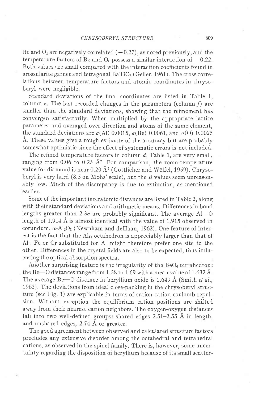Be and  $O<sub>I</sub>$  are negatively correlated  $(-0.27)$ , as noted previously, and the temperature factors of Be and  $O<sub>I</sub>$  possess a similar interaction of  $-0.22$ . Both values are small compared with the interaction coefficients found in grossularite garnet and tetragonal  $BaTiO<sub>3</sub>$  (Geller, 1961). The cross correlations between temperature factors and atomic coordinates in chrysoberyl were negligible.

Standard deviations of the final coordinates are listed in Table 1, column  $e$ . The last recorded changes in the parameters (column  $f$ ) are smaller than the standard deviations, showing that the refinement has converged satisfactorily. When multiplied by the appropriate lattice parameter and averaged over direction and atoms of the same element, the standard deviations are  $\sigma$ (Al) 0.0015,  $\sigma$ (Be) 0.0061, and  $\sigma$ (O) 0.0025 Å. These values give a rough estimate of the accuracy but are probably somewhat optimistic since the efiect of systematic errors is not included.

The refined temperature factors in column  $d$ , Table 1, are very small, ranging from 0.06 to 0.23  $\AA$ <sup>2</sup>. For comparison, the room-temperature value for diamond is near 0.20  $\AA$ <sup>2</sup> (Gottlicher and Wölfel, 1959). Chrysoberyl is very hard  $(8.5 \text{ on Mohs'} scale)$ , but the B values seem unreasonably low. Much of the discrepancy is due to extinction, as mentioned earlier.

Some of the important interatomic distances are listed in Table 2, along with their standard deviations and arithmetic means. Differences in bond lengths greater than 2.3 $\sigma$  are probably significant. The average Al-O length of 1.914  $\AA$  is almost identical with the value of 1.915 observed in corundum,  $\alpha$ -Al $_2\rm O_3$  (Newnham and deHaan, 1962). One feature of interest is the fact that the  $Al<sub>II</sub>$  octahedron is appreciably larger than that of Alr. Fe or Cr substituted for AI might therefore prefer one site to the other. Difierences in the crystal fields are also to be expected, thus influencing the optical absorption spectra.

Another surprising feature is the irregularity of the  $BeO<sub>4</sub>$  tetrahedron: the Be-O distances range from 1.58 to 1.69 with a mean value of 1.632 Å. The average Be-O distance in beryllium oxide is 1.649  $\AA$  (Smith *et al.*, 1962). The deviations from ideal close-packing in the chrysoberyl structure (see Fig. 1) are explicable in terms of cation-cation coulomb repulsion. Without exception the equilibrium cation positions are shifted away from their nearest cation neighbors. The oxygen-oxygen distances fall into two well-defined groups: shared edges  $2.51-2.55$  Å in length, and unshared edges, 2.74 A or greater.

The good agreement between observed and calculated structure factors precludes any extensive disorder among the octahedral and tetrahedral cations, as observed in the spinel family. There is, however, some uncertainty regarding the disposition of beryilium because of its small scatter-